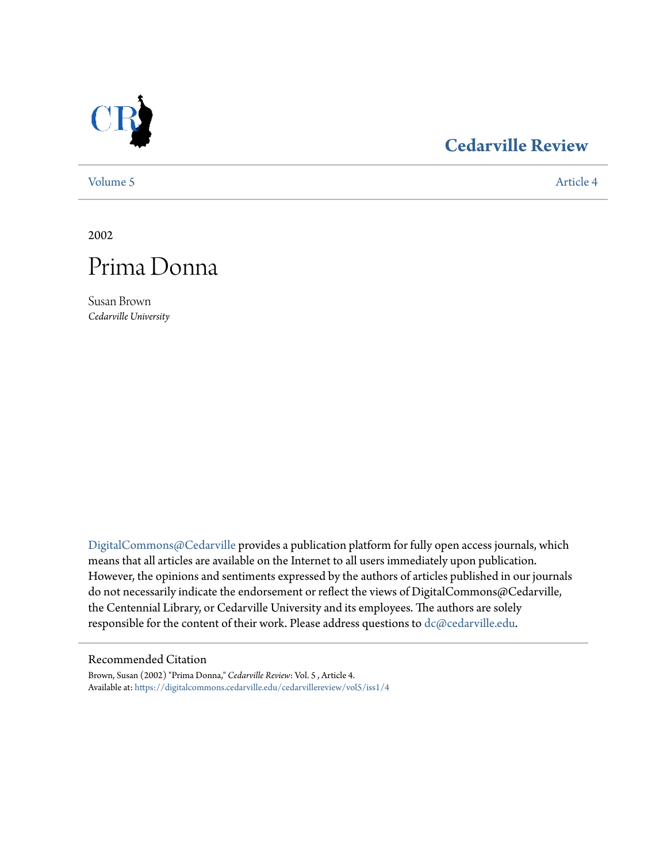

# **[Cedarville Review](https://digitalcommons.cedarville.edu/cedarvillereview?utm_source=digitalcommons.cedarville.edu%2Fcedarvillereview%2Fvol5%2Fiss1%2F4&utm_medium=PDF&utm_campaign=PDFCoverPages)**

[Volume 5](https://digitalcommons.cedarville.edu/cedarvillereview/vol5?utm_source=digitalcommons.cedarville.edu%2Fcedarvillereview%2Fvol5%2Fiss1%2F4&utm_medium=PDF&utm_campaign=PDFCoverPages) [Article 4](https://digitalcommons.cedarville.edu/cedarvillereview/vol5/iss1/4?utm_source=digitalcommons.cedarville.edu%2Fcedarvillereview%2Fvol5%2Fiss1%2F4&utm_medium=PDF&utm_campaign=PDFCoverPages)

2002



Susan Brown *Cedarville University*

[DigitalCommons@Cedarville](http://digitalcommons.cedarville.edu) provides a publication platform for fully open access journals, which means that all articles are available on the Internet to all users immediately upon publication. However, the opinions and sentiments expressed by the authors of articles published in our journals do not necessarily indicate the endorsement or reflect the views of DigitalCommons@Cedarville, the Centennial Library, or Cedarville University and its employees. The authors are solely responsible for the content of their work. Please address questions to [dc@cedarville.edu](mailto:dc@cedarville.edu).

#### Recommended Citation

Brown, Susan (2002) "Prima Donna," *Cedarville Review*: Vol. 5 , Article 4. Available at: [https://digitalcommons.cedarville.edu/cedarvillereview/vol5/iss1/4](https://digitalcommons.cedarville.edu/cedarvillereview/vol5/iss1/4?utm_source=digitalcommons.cedarville.edu%2Fcedarvillereview%2Fvol5%2Fiss1%2F4&utm_medium=PDF&utm_campaign=PDFCoverPages)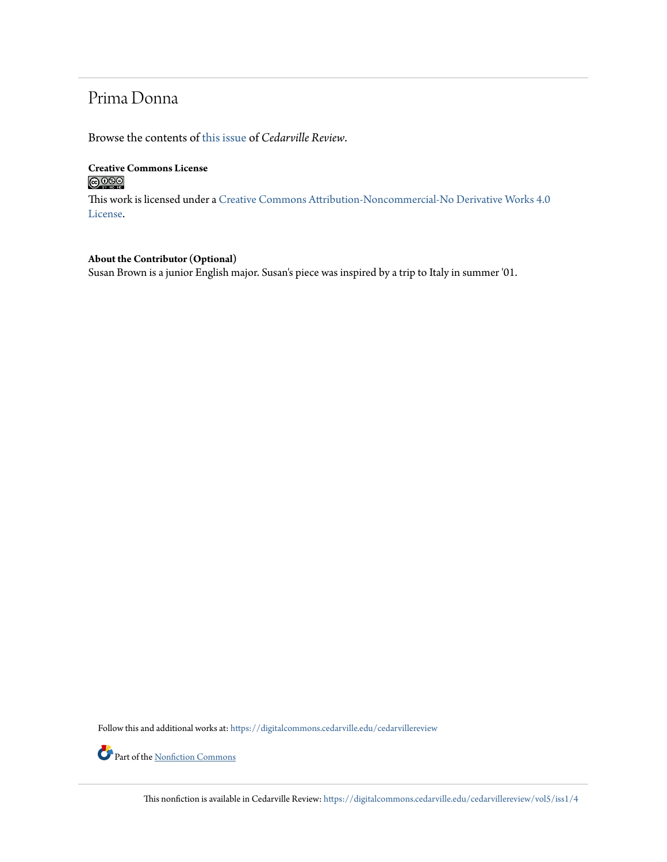## Prima Donna

Browse the contents of [this issue](https://digitalcommons.cedarville.edu/cedarvillereview/vol5/iss1) of *Cedarville Review*.

### **Creative Commons License**  $\bigcirc$   $\circ$

This work is licensed under a [Creative Commons Attribution-Noncommercial-No Derivative Works 4.0](http://creativecommons.org/licenses/by-nc-nd/4.0/) [License.](http://creativecommons.org/licenses/by-nc-nd/4.0/)

### **About the Contributor (Optional)** Susan Brown is a junior English major. Susan's piece was inspired by a trip to Italy in summer '01.

Follow this and additional works at: [https://digitalcommons.cedarville.edu/cedarvillereview](https://digitalcommons.cedarville.edu/cedarvillereview?utm_source=digitalcommons.cedarville.edu%2Fcedarvillereview%2Fvol5%2Fiss1%2F4&utm_medium=PDF&utm_campaign=PDFCoverPages)

Part of the <u>[Nonfiction Commons](http://network.bepress.com/hgg/discipline/1152?utm_source=digitalcommons.cedarville.edu%2Fcedarvillereview%2Fvol5%2Fiss1%2F4&utm_medium=PDF&utm_campaign=PDFCoverPages)</u>